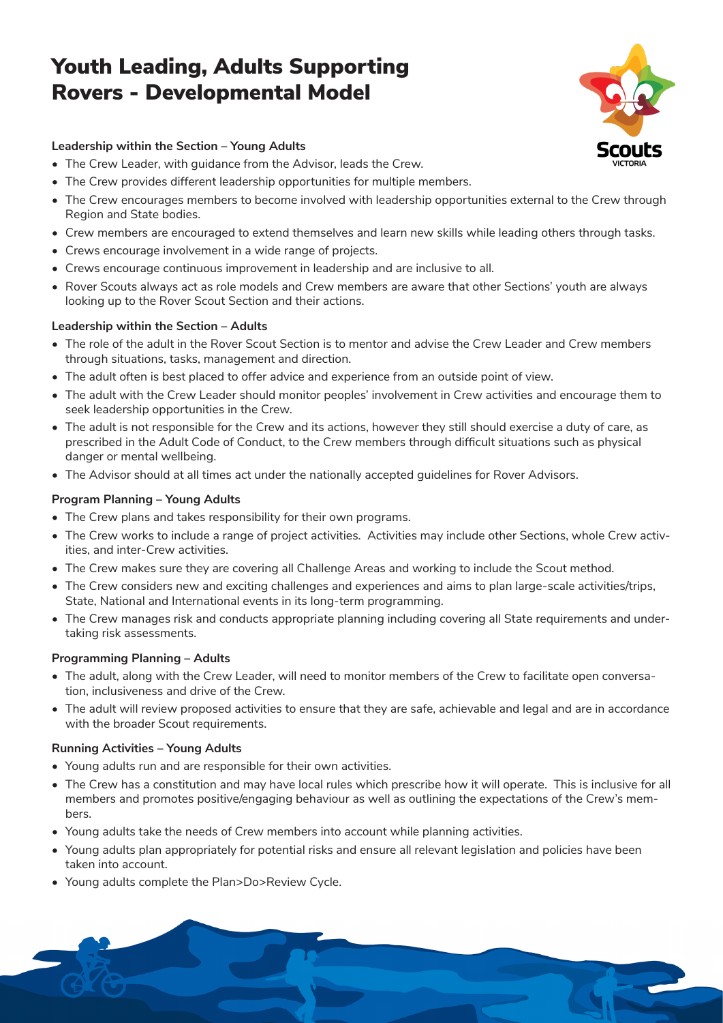# Youth Leading, Adults Supporting Rovers - Developmental Model



1

# **Leadership within the Section – Young Adults**

- The Crew Leader, with guidance from the Advisor, leads the Crew.
- The Crew provides different leadership opportunities for multiple members.
- The Crew encourages members to become involved with leadership opportunities external to the Crew through Region and State bodies.
- Crew members are encouraged to extend themselves and learn new skills while leading others through tasks.
- Crews encourage involvement in a wide range of projects.
- Crews encourage continuous improvement in leadership and are inclusive to all.
- Rover Scouts always act as role models and Crew members are aware that other Sections' youth are always looking up to the Rover Scout Section and their actions.

# **Leadership within the Section – Adults**

- The role of the adult in the Rover Scout Section is to mentor and advise the Crew Leader and Crew members through situations, tasks, management and direction.
- The adult often is best placed to offer advice and experience from an outside point of view.
- The adult with the Crew Leader should monitor peoples' involvement in Crew activities and encourage them to seek leadership opportunities in the Crew.
- The adult is not responsible for the Crew and its actions, however they still should exercise a duty of care, as prescribed in the Adult Code of Conduct, to the Crew members through difficult situations such as physical danger or mental wellbeing.
- The Advisor should at all times act under the nationally accepted guidelines for Rover Advisors.

# **Program Planning – Young Adults**

- The Crew plans and takes responsibility for their own programs.
- The Crew works to include a range of project activities. Activities may include other Sections, whole Crew activities, and inter-Crew activities.
- The Crew makes sure they are covering all Challenge Areas and working to include the Scout method.
- The Crew considers new and exciting challenges and experiences and aims to plan large-scale activities/trips, State, National and International events in its long-term programming.
- The Crew manages risk and conducts appropriate planning including covering all State requirements and undertaking risk assessments.

# **Programming Planning – Adults**

- The adult, along with the Crew Leader, will need to monitor members of the Crew to facilitate open conversation, inclusiveness and drive of the Crew.
- The adult will review proposed activities to ensure that they are safe, achievable and legal and are in accordance with the broader Scout requirements.

# **Running Activities – Young Adults**

- Young adults run and are responsible for their own activities.
- The Crew has a constitution and may have local rules which prescribe how it will operate. This is inclusive for all members and promotes positive/engaging behaviour as well as outlining the expectations of the Crew's members.
- Young adults take the needs of Crew members into account while planning activities.
- Young adults plan appropriately for potential risks and ensure all relevant legislation and policies have been taken into account.
- Young adults complete the Plan>Do>Review Cycle.